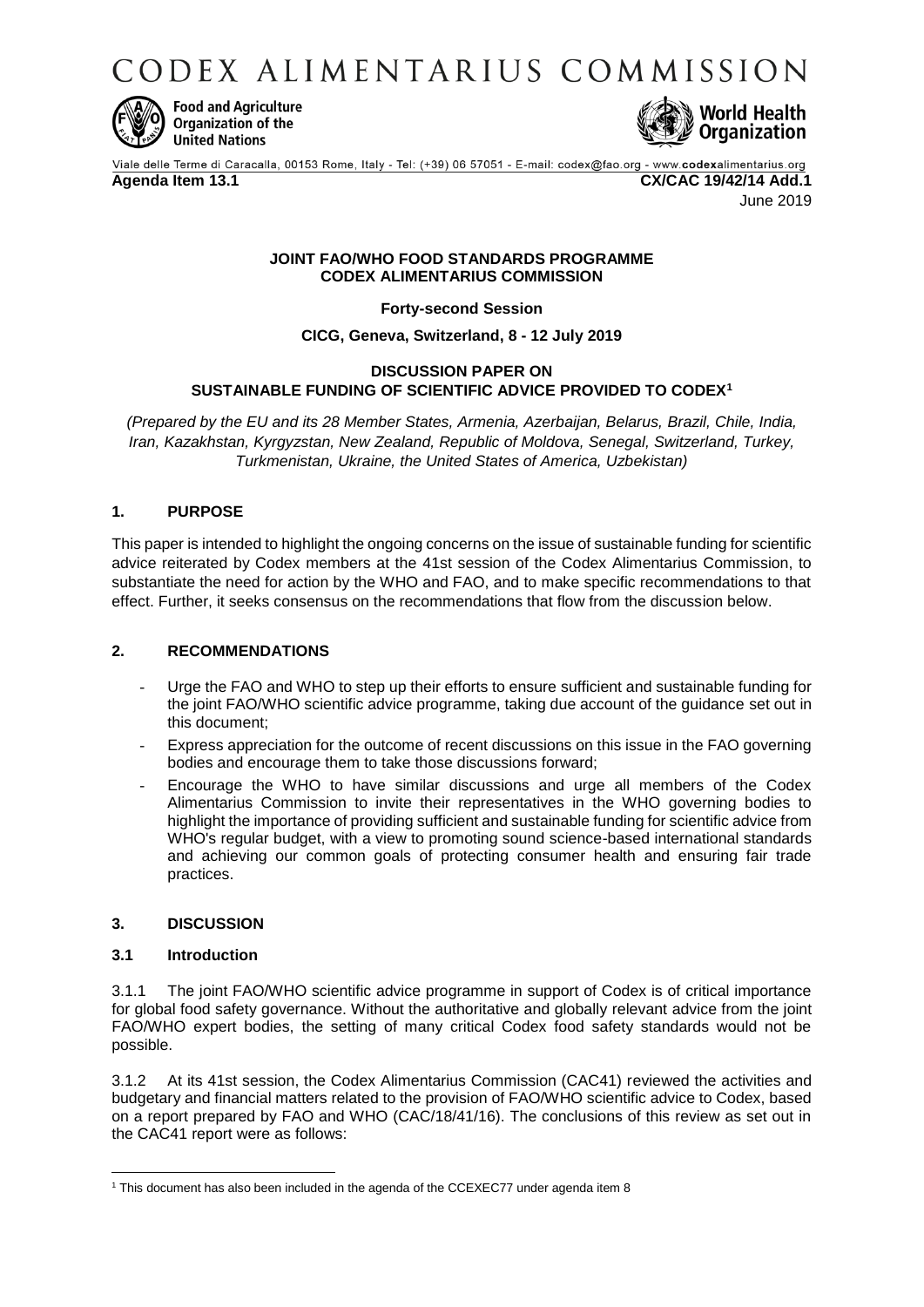CODEX ALIMENTARIUS COMMISSION



**Food and Agriculture Organization of the United Nations** 



Viale delle Terme di Caracalla, 00153 Rome, Italy - Tel: (+39) 06 57051 - E-mail: codex@fao.org - www.codexalimentarius.org **Agenda Item 13.1 CX/CAC 19/42/14 Add.1**

June 2019

### **JOINT FAO/WHO FOOD STANDARDS PROGRAMME CODEX ALIMENTARIUS COMMISSION**

**Forty-second Session**

**CICG, Geneva, Switzerland, 8 - 12 July 2019**

## **DISCUSSION PAPER ON SUSTAINABLE FUNDING OF SCIENTIFIC ADVICE PROVIDED TO CODEX<sup>1</sup>**

*(Prepared by the EU and its 28 Member States, Armenia, Azerbaijan, Belarus, Brazil, Chile, India, Iran, Kazakhstan, Kyrgyzstan, New Zealand, Republic of Moldova, Senegal, Switzerland, Turkey, Turkmenistan, Ukraine, the United States of America, Uzbekistan)*

# **1. PURPOSE**

This paper is intended to highlight the ongoing concerns on the issue of sustainable funding for scientific advice reiterated by Codex members at the 41st session of the Codex Alimentarius Commission, to substantiate the need for action by the WHO and FAO, and to make specific recommendations to that effect. Further, it seeks consensus on the recommendations that flow from the discussion below.

## **2. RECOMMENDATIONS**

- Urge the FAO and WHO to step up their efforts to ensure sufficient and sustainable funding for the joint FAO/WHO scientific advice programme, taking due account of the guidance set out in this document;
- Express appreciation for the outcome of recent discussions on this issue in the FAO governing bodies and encourage them to take those discussions forward;
- Encourage the WHO to have similar discussions and urge all members of the Codex Alimentarius Commission to invite their representatives in the WHO governing bodies to highlight the importance of providing sufficient and sustainable funding for scientific advice from WHO's regular budget, with a view to promoting sound science-based international standards and achieving our common goals of protecting consumer health and ensuring fair trade practices.

## **3. DISCUSSION**

## **3.1 Introduction**

3.1.1 The joint FAO/WHO scientific advice programme in support of Codex is of critical importance for global food safety governance. Without the authoritative and globally relevant advice from the joint FAO/WHO expert bodies, the setting of many critical Codex food safety standards would not be possible.

3.1.2 At its 41st session, the Codex Alimentarius Commission (CAC41) reviewed the activities and budgetary and financial matters related to the provision of FAO/WHO scientific advice to Codex, based on a report prepared by FAO and WHO (CAC/18/41/16). The conclusions of this review as set out in the CAC41 report were as follows:

**<sup>.</sup>** <sup>1</sup> This document has also been included in the agenda of the CCEXEC77 under agenda item 8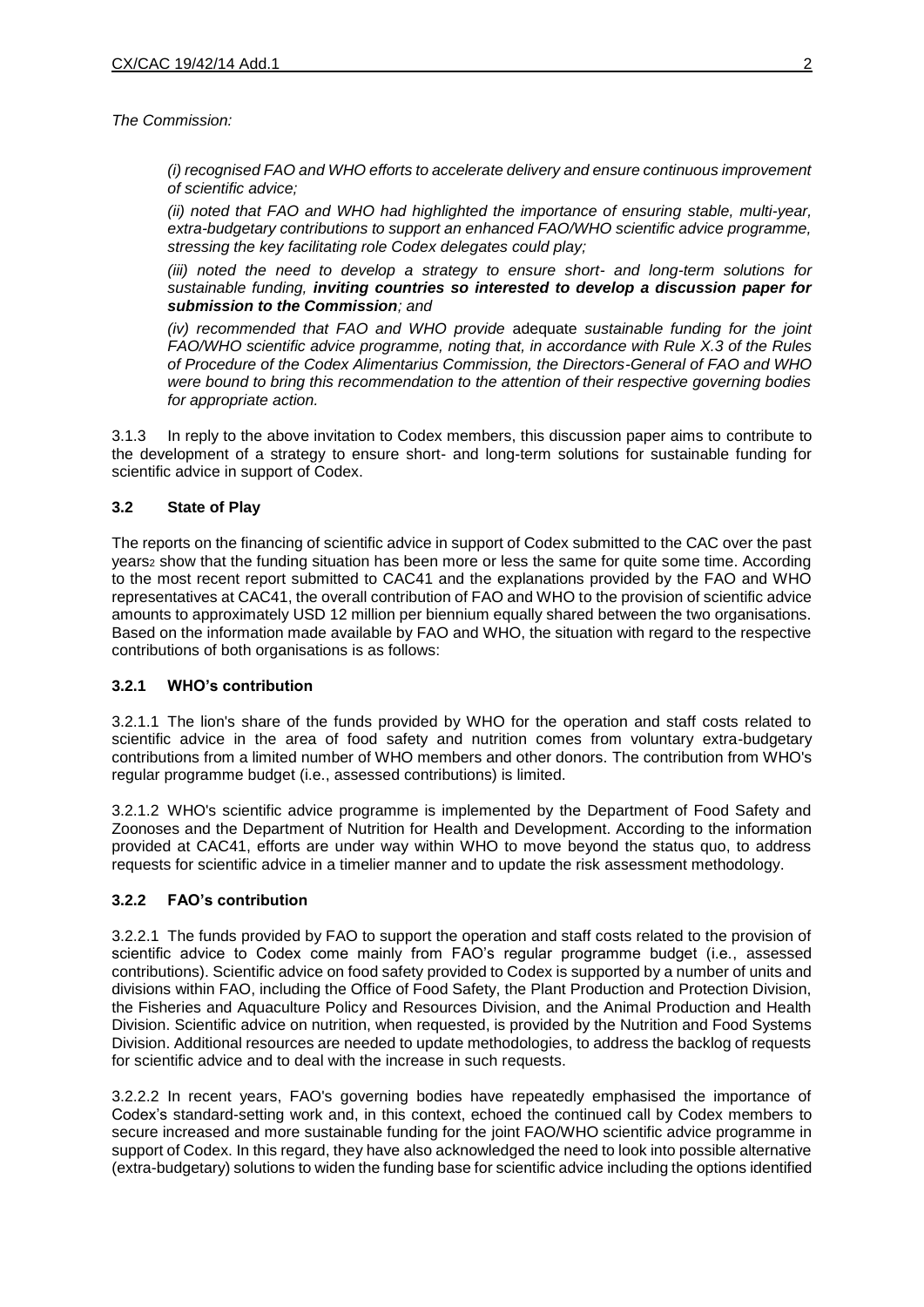*The Commission:* 

*(i) recognised FAO and WHO efforts to accelerate delivery and ensure continuous improvement of scientific advice;* 

*(ii) noted that FAO and WHO had highlighted the importance of ensuring stable, multi-year, extra-budgetary contributions to support an enhanced FAO/WHO scientific advice programme, stressing the key facilitating role Codex delegates could play;* 

*(iii) noted the need to develop a strategy to ensure short- and long-term solutions for sustainable funding, inviting countries so interested to develop a discussion paper for submission to the Commission; and* 

*(iv) recommended that FAO and WHO provide* adequate *sustainable funding for the joint FAO/WHO scientific advice programme, noting that, in accordance with Rule X.3 of the Rules of Procedure of the Codex Alimentarius Commission, the Directors-General of FAO and WHO were bound to bring this recommendation to the attention of their respective governing bodies for appropriate action.* 

3.1.3 In reply to the above invitation to Codex members, this discussion paper aims to contribute to the development of a strategy to ensure short- and long-term solutions for sustainable funding for scientific advice in support of Codex.

## **3.2 State of Play**

The reports on the financing of scientific advice in support of Codex submitted to the CAC over the past years<sub>2</sub> show that the funding situation has been more or less the same for quite some time. According to the most recent report submitted to CAC41 and the explanations provided by the FAO and WHO representatives at CAC41, the overall contribution of FAO and WHO to the provision of scientific advice amounts to approximately USD 12 million per biennium equally shared between the two organisations. Based on the information made available by FAO and WHO, the situation with regard to the respective contributions of both organisations is as follows:

## **3.2.1 WHO's contribution**

3.2.1.1 The lion's share of the funds provided by WHO for the operation and staff costs related to scientific advice in the area of food safety and nutrition comes from voluntary extra-budgetary contributions from a limited number of WHO members and other donors. The contribution from WHO's regular programme budget (i.e., assessed contributions) is limited.

3.2.1.2 WHO's scientific advice programme is implemented by the Department of Food Safety and Zoonoses and the Department of Nutrition for Health and Development. According to the information provided at CAC41, efforts are under way within WHO to move beyond the status quo, to address requests for scientific advice in a timelier manner and to update the risk assessment methodology.

## **3.2.2 FAO's contribution**

3.2.2.1 The funds provided by FAO to support the operation and staff costs related to the provision of scientific advice to Codex come mainly from FAO's regular programme budget (i.e., assessed contributions). Scientific advice on food safety provided to Codex is supported by a number of units and divisions within FAO, including the Office of Food Safety, the Plant Production and Protection Division, the Fisheries and Aquaculture Policy and Resources Division, and the Animal Production and Health Division. Scientific advice on nutrition, when requested, is provided by the Nutrition and Food Systems Division. Additional resources are needed to update methodologies, to address the backlog of requests for scientific advice and to deal with the increase in such requests.

3.2.2.2 In recent years, FAO's governing bodies have repeatedly emphasised the importance of Codex's standard-setting work and, in this context, echoed the continued call by Codex members to secure increased and more sustainable funding for the joint FAO/WHO scientific advice programme in support of Codex. In this regard, they have also acknowledged the need to look into possible alternative (extra-budgetary) solutions to widen the funding base for scientific advice including the options identified